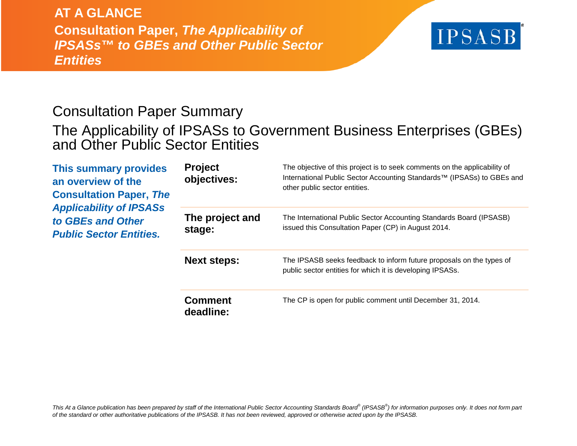## **AT A GLANCE**

**Consultation Paper,** *The Applicability of IPSASs™ to GBEs and Other Public Sector Entities*

# **IPSASB**

## Consultation Paper Summary

## The Applicability of IPSASs to Government Business Enterprises (GBEs) and Other Public Sector Entities

| <b>This summary provides</b><br>an overview of the<br><b>Consultation Paper, The</b><br><b>Applicability of IPSASs</b><br>to GBEs and Other<br><b>Public Sector Entities.</b> | <b>Project</b><br>objectives: | The objective of this project is to seek comments on the applicability of<br>International Public Sector Accounting Standards™ (IPSASs) to GBEs and<br>other public sector entities. |
|-------------------------------------------------------------------------------------------------------------------------------------------------------------------------------|-------------------------------|--------------------------------------------------------------------------------------------------------------------------------------------------------------------------------------|
|                                                                                                                                                                               | The project and<br>stage:     | The International Public Sector Accounting Standards Board (IPSASB)<br>issued this Consultation Paper (CP) in August 2014.                                                           |
|                                                                                                                                                                               | <b>Next steps:</b>            | The IPSASB seeks feedback to inform future proposals on the types of<br>public sector entities for which it is developing IPSASs.                                                    |
|                                                                                                                                                                               | <b>Comment</b><br>deadline:   | The CP is open for public comment until December 31, 2014.                                                                                                                           |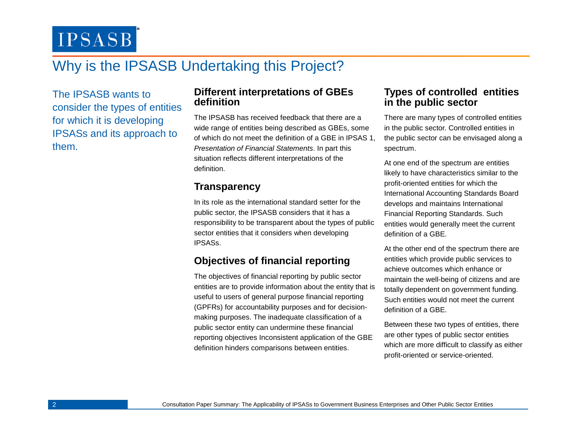**IPSASB** 

## Why is the IPSASB Undertaking this Project?

The IPSASB wants to consider the types of entities for which it is developing IPSASs and its approach to them.

#### **Different interpretations of GBEs definition**

The IPSASB has received feedback that there are a wide range of entities being described as GBEs, some of which do not meet the definition of a GBE in IPSAS 1, *Presentation of Financial Statements*. In part this situation reflects different interpretations of the definition.

### **Transparency**

In its role as the international standard setter for the public sector, the IPSASB considers that it has a responsibility to be transparent about the types of public sector entities that it considers when developing IPSASs.

## **Objectives of financial reporting**

The objectives of financial reporting by public sector entities are to provide information about the entity that is useful to users of general purpose financial reporting (GPFRs) for accountability purposes and for decisionmaking purposes. The inadequate classification of a public sector entity can undermine these financial reporting objectives Inconsistent application of the GBE definition hinders comparisons between entities.

#### **Types of controlled entities in the public sector**

There are many types of controlled entities in the public sector. Controlled entities in the public sector can be envisaged along a spectrum.

At one end of the spectrum are entities likely to have characteristics similar to the profit-oriented entities for which the International Accounting Standards Board develops and maintains International Financial Reporting Standards. Such entities would generally meet the current definition of a GBE.

At the other end of the spectrum there are entities which provide public services to achieve outcomes which enhance or maintain the well-being of citizens and are totally dependent on government funding. Such entities would not meet the current definition of a GBE.

Between these two types of entities, there are other types of public sector entities which are more difficult to classify as either profit-oriented or service-oriented.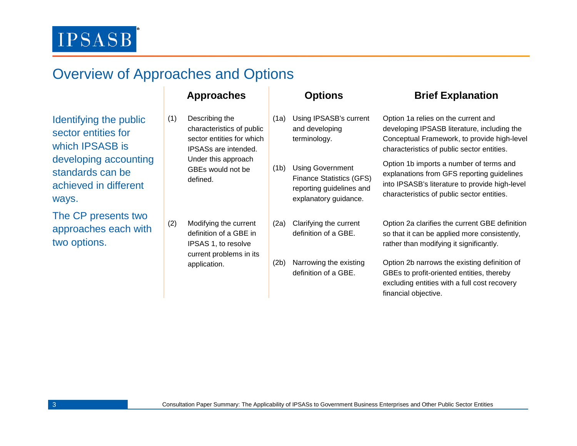## Overview of Approaches and Options

Identifying the public sector entities for which IPSASB is developing accounting standards can be achieved in different ways.

The CP presents two approaches each with two options.

- (1) Describing the characteristics of public sector entities for which IPSASs are intended. Under this approach GBEs would not be defined.
- (2) Modifying the current definition of a GBE in IPSAS 1, to resolve current problems in its application.

- (1a) Using IPSASB's current and developing terminology.
- (1b) Using Government Finance Statistics (GFS) reporting guidelines and explanatory guidance.
- (2a) Clarifying the current definition of a GBE.
- (2b) Narrowing the existing definition of a GBE.

### **Approaches Options Brief Explanation**

- Option 1a relies on the current and developing IPSASB literature, including the Conceptual Framework, to provide high-level characteristics of public sector entities.
- Option 1b imports a number of terms and explanations from GFS reporting guidelines into IPSASB's literature to provide high-level characteristics of public sector entities.
- Option 2a clarifies the current GBE definition so that it can be applied more consistently, rather than modifying it significantly.
- Option 2b narrows the existing definition of GBEs to profit-oriented entities, thereby excluding entities with a full cost recovery financial objective.